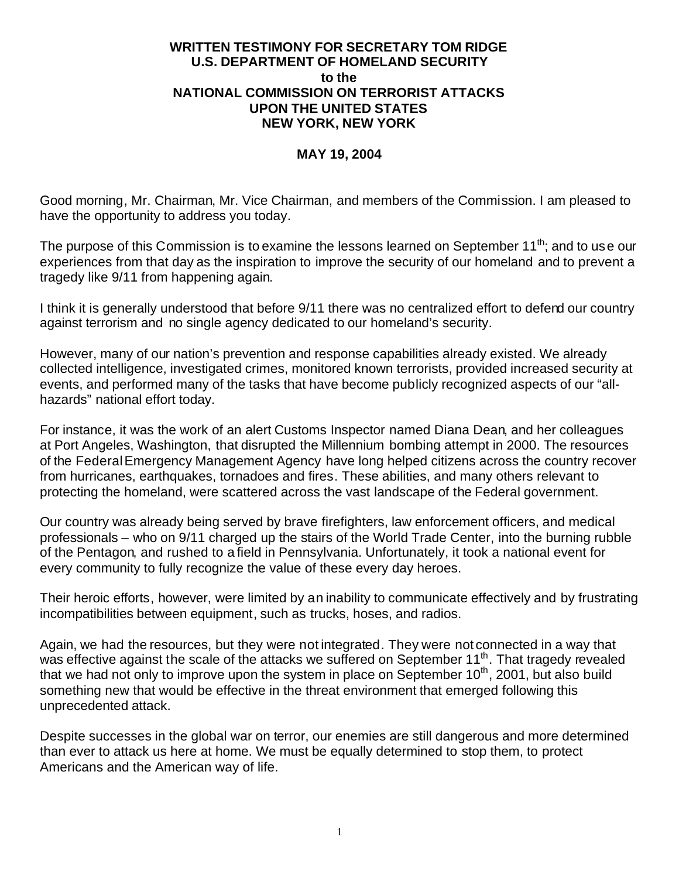#### **WRITTEN TESTIMONY FOR SECRETARY TOM RIDGE U.S. DEPARTMENT OF HOMELAND SECURITY to the NATIONAL COMMISSION ON TERRORIST ATTACKS UPON THE UNITED STATES NEW YORK, NEW YORK**

#### **MAY 19, 2004**

Good morning, Mr. Chairman, Mr. Vice Chairman, and members of the Commission. I am pleased to have the opportunity to address you today.

The purpose of this Commission is to examine the lessons learned on September 11<sup>th</sup>; and to use our experiences from that day as the inspiration to improve the security of our homeland and to prevent a tragedy like 9/11 from happening again.

I think it is generally understood that before 9/11 there was no centralized effort to defend our country against terrorism and no single agency dedicated to our homeland's security.

However, many of our nation's prevention and response capabilities already existed. We already collected intelligence, investigated crimes, monitored known terrorists, provided increased security at events, and performed many of the tasks that have become publicly recognized aspects of our "allhazards" national effort today.

For instance, it was the work of an alert Customs Inspector named Diana Dean, and her colleagues at Port Angeles, Washington, that disrupted the Millennium bombing attempt in 2000. The resources of the Federal Emergency Management Agency have long helped citizens across the country recover from hurricanes, earthquakes, tornadoes and fires. These abilities, and many others relevant to protecting the homeland, were scattered across the vast landscape of the Federal government.

Our country was already being served by brave firefighters, law enforcement officers, and medical professionals – who on 9/11 charged up the stairs of the World Trade Center, into the burning rubble of the Pentagon, and rushed to a field in Pennsylvania. Unfortunately, it took a national event for every community to fully recognize the value of these every day heroes.

Their heroic efforts, however, were limited by an inability to communicate effectively and by frustrating incompatibilities between equipment, such as trucks, hoses, and radios.

Again, we had the resources, but they were not integrated. They were not connected in a way that was effective against the scale of the attacks we suffered on September 11<sup>th</sup>. That tragedy revealed that we had not only to improve upon the system in place on September  $10<sup>th</sup>$ , 2001, but also build something new that would be effective in the threat environment that emerged following this unprecedented attack.

Despite successes in the global war on terror, our enemies are still dangerous and more determined than ever to attack us here at home. We must be equally determined to stop them, to protect Americans and the American way of life.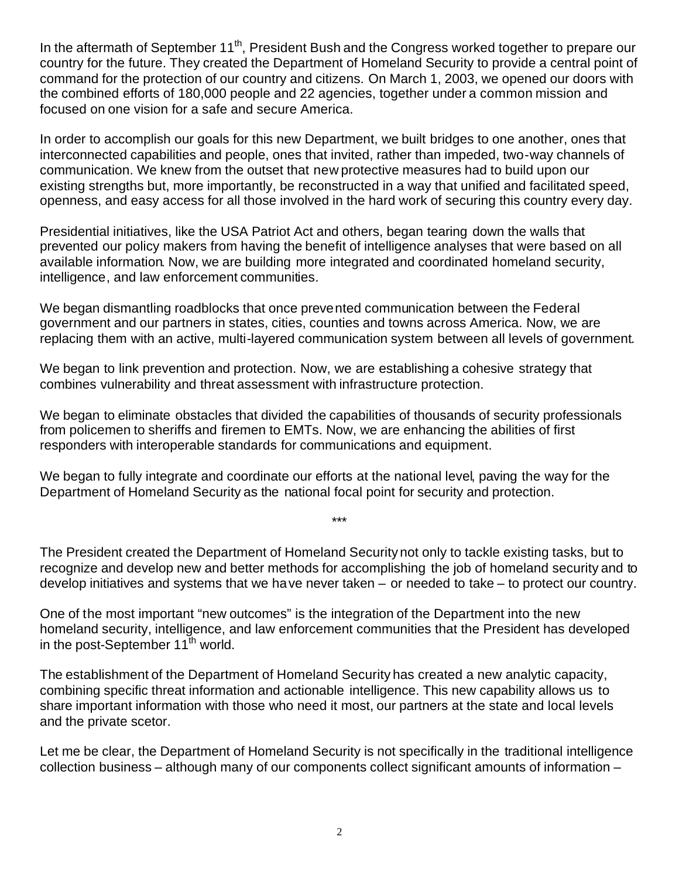In the aftermath of September 11<sup>th</sup>, President Bush and the Congress worked together to prepare our country for the future. They created the Department of Homeland Security to provide a central point of command for the protection of our country and citizens. On March 1, 2003, we opened our doors with the combined efforts of 180,000 people and 22 agencies, together under a common mission and focused on one vision for a safe and secure America.

In order to accomplish our goals for this new Department, we built bridges to one another, ones that interconnected capabilities and people, ones that invited, rather than impeded, two-way channels of communication. We knew from the outset that new protective measures had to build upon our existing strengths but, more importantly, be reconstructed in a way that unified and facilitated speed, openness, and easy access for all those involved in the hard work of securing this country every day.

Presidential initiatives, like the USA Patriot Act and others, began tearing down the walls that prevented our policy makers from having the benefit of intelligence analyses that were based on all available information. Now, we are building more integrated and coordinated homeland security, intelligence, and law enforcement communities.

We began dismantling roadblocks that once prevented communication between the Federal government and our partners in states, cities, counties and towns across America. Now, we are replacing them with an active, multi-layered communication system between all levels of government.

We began to link prevention and protection. Now, we are establishing a cohesive strategy that combines vulnerability and threat assessment with infrastructure protection.

We began to eliminate obstacles that divided the capabilities of thousands of security professionals from policemen to sheriffs and firemen to EMTs. Now, we are enhancing the abilities of first responders with interoperable standards for communications and equipment.

We began to fully integrate and coordinate our efforts at the national level, paving the way for the Department of Homeland Security as the national focal point for security and protection.

The President created the Department of Homeland Security not only to tackle existing tasks, but to recognize and develop new and better methods for accomplishing the job of homeland security and to develop initiatives and systems that we have never taken – or needed to take – to protect our country.

\*\*\*

One of the most important "new outcomes" is the integration of the Department into the new homeland security, intelligence, and law enforcement communities that the President has developed in the post-September  $11^{th}$  world.

The establishment of the Department of Homeland Security has created a new analytic capacity, combining specific threat information and actionable intelligence. This new capability allows us to share important information with those who need it most, our partners at the state and local levels and the private scetor.

Let me be clear, the Department of Homeland Security is not specifically in the traditional intelligence collection business – although many of our components collect significant amounts of information –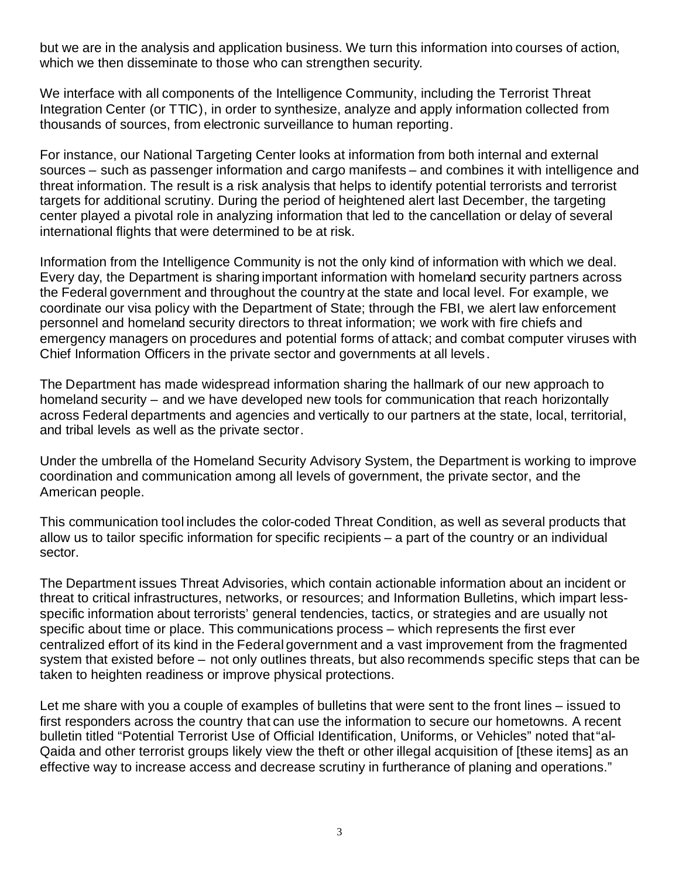but we are in the analysis and application business. We turn this information into courses of action, which we then disseminate to those who can strengthen security.

We interface with all components of the Intelligence Community, including the Terrorist Threat Integration Center (or TTIC), in order to synthesize, analyze and apply information collected from thousands of sources, from electronic surveillance to human reporting.

For instance, our National Targeting Center looks at information from both internal and external sources – such as passenger information and cargo manifests – and combines it with intelligence and threat information. The result is a risk analysis that helps to identify potential terrorists and terrorist targets for additional scrutiny. During the period of heightened alert last December, the targeting center played a pivotal role in analyzing information that led to the cancellation or delay of several international flights that were determined to be at risk.

Information from the Intelligence Community is not the only kind of information with which we deal. Every day, the Department is sharing important information with homeland security partners across the Federal government and throughout the country at the state and local level. For example, we coordinate our visa policy with the Department of State; through the FBI, we alert law enforcement personnel and homeland security directors to threat information; we work with fire chiefs and emergency managers on procedures and potential forms of attack; and combat computer viruses with Chief Information Officers in the private sector and governments at all levels.

The Department has made widespread information sharing the hallmark of our new approach to homeland security – and we have developed new tools for communication that reach horizontally across Federal departments and agencies and vertically to our partners at the state, local, territorial, and tribal levels as well as the private sector.

Under the umbrella of the Homeland Security Advisory System, the Department is working to improve coordination and communication among all levels of government, the private sector, and the American people.

This communication tool includes the color-coded Threat Condition, as well as several products that allow us to tailor specific information for specific recipients – a part of the country or an individual sector.

The Department issues Threat Advisories, which contain actionable information about an incident or threat to critical infrastructures, networks, or resources; and Information Bulletins, which impart lessspecific information about terrorists' general tendencies, tactics, or strategies and are usually not specific about time or place. This communications process – which represents the first ever centralized effort of its kind in the Federal government and a vast improvement from the fragmented system that existed before – not only outlines threats, but also recommends specific steps that can be taken to heighten readiness or improve physical protections.

Let me share with you a couple of examples of bulletins that were sent to the front lines – issued to first responders across the country that can use the information to secure our hometowns. A recent bulletin titled "Potential Terrorist Use of Official Identification, Uniforms, or Vehicles" noted that"al-Qaida and other terrorist groups likely view the theft or other illegal acquisition of [these items] as an effective way to increase access and decrease scrutiny in furtherance of planing and operations."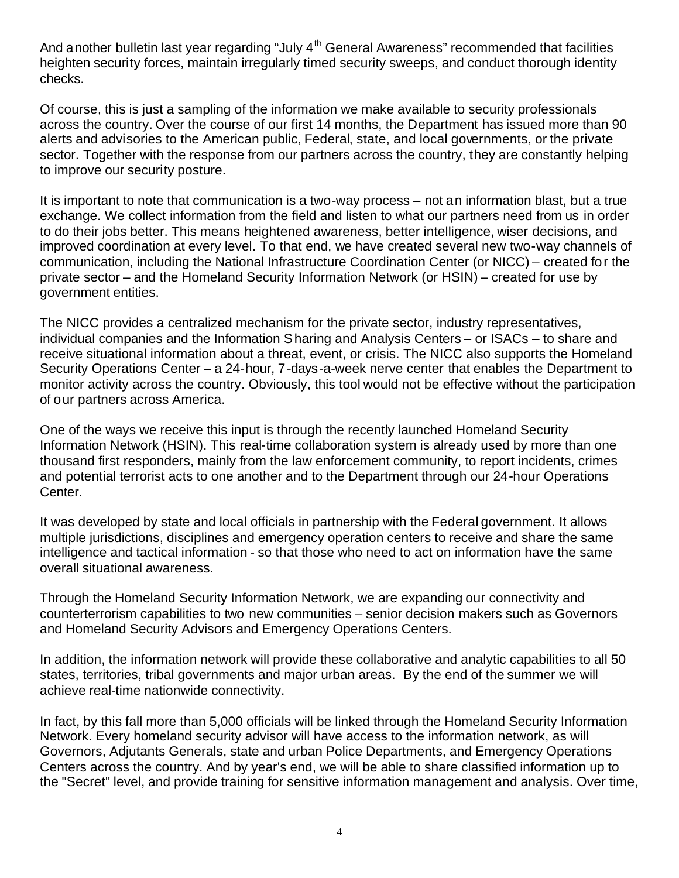And another bulletin last year regarding "July  $4<sup>th</sup>$  General Awareness" recommended that facilities heighten security forces, maintain irregularly timed security sweeps, and conduct thorough identity checks.

Of course, this is just a sampling of the information we make available to security professionals across the country. Over the course of our first 14 months, the Department has issued more than 90 alerts and advisories to the American public, Federal, state, and local governments, or the private sector. Together with the response from our partners across the country, they are constantly helping to improve our security posture.

It is important to note that communication is a two-way process – not an information blast, but a true exchange. We collect information from the field and listen to what our partners need from us in order to do their jobs better. This means heightened awareness, better intelligence, wiser decisions, and improved coordination at every level. To that end, we have created several new two-way channels of communication, including the National Infrastructure Coordination Center (or NICC) – created for the private sector – and the Homeland Security Information Network (or HSIN) – created for use by government entities.

The NICC provides a centralized mechanism for the private sector, industry representatives, individual companies and the Information Sharing and Analysis Centers – or ISACs – to share and receive situational information about a threat, event, or crisis. The NICC also supports the Homeland Security Operations Center – a 24-hour, 7-days-a-week nerve center that enables the Department to monitor activity across the country. Obviously, this tool would not be effective without the participation of our partners across America.

One of the ways we receive this input is through the recently launched Homeland Security Information Network (HSIN). This real-time collaboration system is already used by more than one thousand first responders, mainly from the law enforcement community, to report incidents, crimes and potential terrorist acts to one another and to the Department through our 24-hour Operations Center.

It was developed by state and local officials in partnership with the Federal government. It allows multiple jurisdictions, disciplines and emergency operation centers to receive and share the same intelligence and tactical information - so that those who need to act on information have the same overall situational awareness.

Through the Homeland Security Information Network, we are expanding our connectivity and counterterrorism capabilities to two new communities – senior decision makers such as Governors and Homeland Security Advisors and Emergency Operations Centers.

In addition, the information network will provide these collaborative and analytic capabilities to all 50 states, territories, tribal governments and major urban areas. By the end of the summer we will achieve real-time nationwide connectivity.

In fact, by this fall more than 5,000 officials will be linked through the Homeland Security Information Network. Every homeland security advisor will have access to the information network, as will Governors, Adjutants Generals, state and urban Police Departments, and Emergency Operations Centers across the country. And by year's end, we will be able to share classified information up to the "Secret" level, and provide training for sensitive information management and analysis. Over time,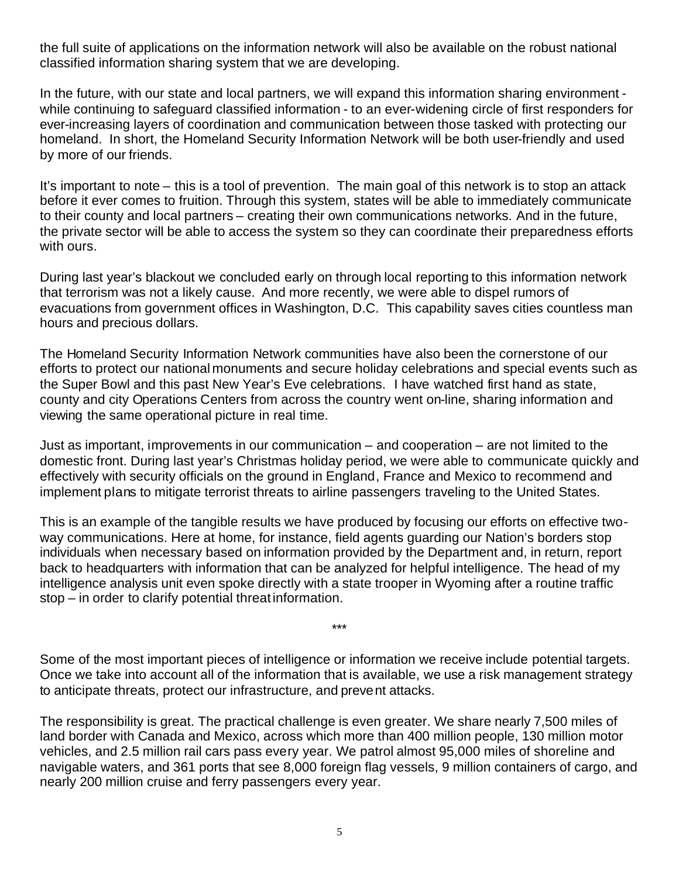the full suite of applications on the information network will also be available on the robust national classified information sharing system that we are developing.

In the future, with our state and local partners, we will expand this information sharing environment while continuing to safeguard classified information - to an ever-widening circle of first responders for ever-increasing layers of coordination and communication between those tasked with protecting our homeland. In short, the Homeland Security Information Network will be both user-friendly and used by more of our friends.

It's important to note – this is a tool of prevention. The main goal of this network is to stop an attack before it ever comes to fruition. Through this system, states will be able to immediately communicate to their county and local partners – creating their own communications networks. And in the future, the private sector will be able to access the system so they can coordinate their preparedness efforts with ours.

During last year's blackout we concluded early on through local reporting to this information network that terrorism was not a likely cause. And more recently, we were able to dispel rumors of evacuations from government offices in Washington, D.C. This capability saves cities countless man hours and precious dollars.

The Homeland Security Information Network communities have also been the cornerstone of our efforts to protect our national monuments and secure holiday celebrations and special events such as the Super Bowl and this past New Year's Eve celebrations. I have watched first hand as state, county and city Operations Centers from across the country went on-line, sharing information and viewing the same operational picture in real time.

Just as important, improvements in our communication – and cooperation – are not limited to the domestic front. During last year's Christmas holiday period, we were able to communicate quickly and effectively with security officials on the ground in England, France and Mexico to recommend and implement plans to mitigate terrorist threats to airline passengers traveling to the United States.

This is an example of the tangible results we have produced by focusing our efforts on effective twoway communications. Here at home, for instance, field agents guarding our Nation's borders stop individuals when necessary based on information provided by the Department and, in return, report back to headquarters with information that can be analyzed for helpful intelligence. The head of my intelligence analysis unit even spoke directly with a state trooper in Wyoming after a routine traffic stop – in order to clarify potential threat information.

Some of the most important pieces of intelligence or information we receive include potential targets. Once we take into account all of the information that is available, we use a risk management strategy to anticipate threats, protect our infrastructure, and prevent attacks.

\*\*\*

The responsibility is great. The practical challenge is even greater. We share nearly 7,500 miles of land border with Canada and Mexico, across which more than 400 million people, 130 million motor vehicles, and 2.5 million rail cars pass every year. We patrol almost 95,000 miles of shoreline and navigable waters, and 361 ports that see 8,000 foreign flag vessels, 9 million containers of cargo, and nearly 200 million cruise and ferry passengers every year.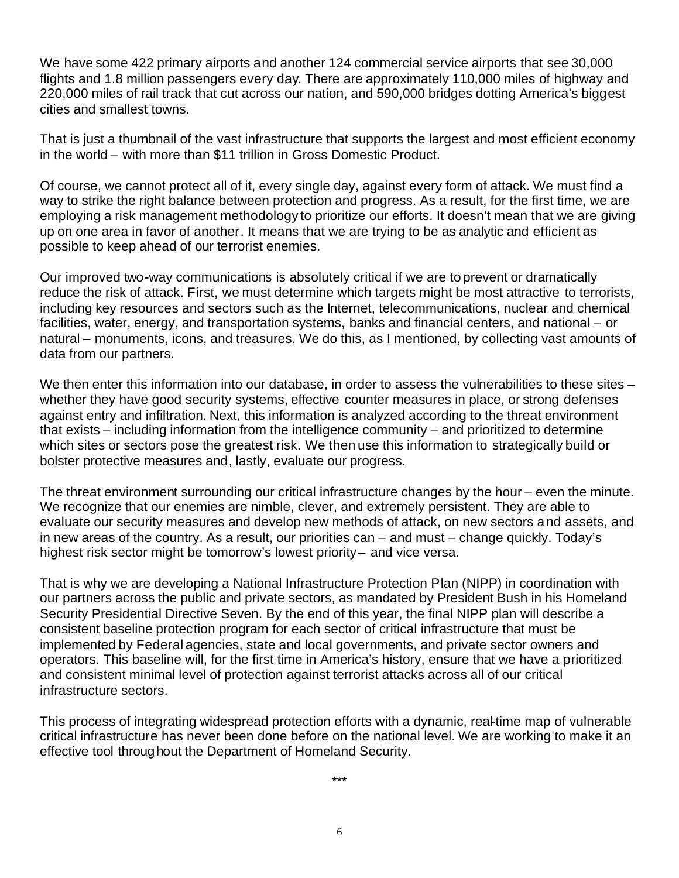We have some 422 primary airports and another 124 commercial service airports that see 30,000 flights and 1.8 million passengers every day. There are approximately 110,000 miles of highway and 220,000 miles of rail track that cut across our nation, and 590,000 bridges dotting America's biggest cities and smallest towns.

That is just a thumbnail of the vast infrastructure that supports the largest and most efficient economy in the world – with more than \$11 trillion in Gross Domestic Product.

Of course, we cannot protect all of it, every single day, against every form of attack. We must find a way to strike the right balance between protection and progress. As a result, for the first time, we are employing a risk management methodology to prioritize our efforts. It doesn't mean that we are giving up on one area in favor of another. It means that we are trying to be as analytic and efficient as possible to keep ahead of our terrorist enemies.

Our improved two-way communications is absolutely critical if we are to prevent or dramatically reduce the risk of attack. First, we must determine which targets might be most attractive to terrorists, including key resources and sectors such as the Internet, telecommunications, nuclear and chemical facilities, water, energy, and transportation systems, banks and financial centers, and national – or natural – monuments, icons, and treasures. We do this, as I mentioned, by collecting vast amounts of data from our partners.

We then enter this information into our database, in order to assess the vulnerabilities to these sites – whether they have good security systems, effective counter measures in place, or strong defenses against entry and infiltration. Next, this information is analyzed according to the threat environment that exists – including information from the intelligence community – and prioritized to determine which sites or sectors pose the greatest risk. We then use this information to strategically build or bolster protective measures and, lastly, evaluate our progress.

The threat environment surrounding our critical infrastructure changes by the hour – even the minute. We recognize that our enemies are nimble, clever, and extremely persistent. They are able to evaluate our security measures and develop new methods of attack, on new sectors and assets, and in new areas of the country. As a result, our priorities can – and must – change quickly. Today's highest risk sector might be tomorrow's lowest priority– and vice versa.

That is why we are developing a National Infrastructure Protection Plan (NIPP) in coordination with our partners across the public and private sectors, as mandated by President Bush in his Homeland Security Presidential Directive Seven. By the end of this year, the final NIPP plan will describe a consistent baseline protection program for each sector of critical infrastructure that must be implemented by Federal agencies, state and local governments, and private sector owners and operators. This baseline will, for the first time in America's history, ensure that we have a prioritized and consistent minimal level of protection against terrorist attacks across all of our critical infrastructure sectors.

This process of integrating widespread protection efforts with a dynamic, real-time map of vulnerable critical infrastructure has never been done before on the national level. We are working to make it an effective tool throughout the Department of Homeland Security.

\*\*\*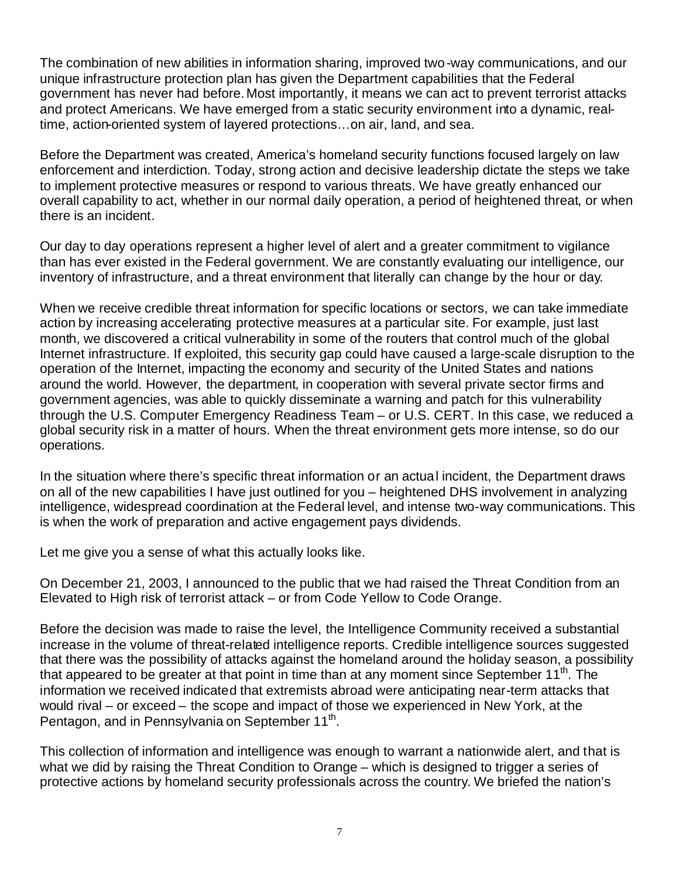The combination of new abilities in information sharing, improved two-way communications, and our unique infrastructure protection plan has given the Department capabilities that the Federal government has never had before. Most importantly, it means we can act to prevent terrorist attacks and protect Americans. We have emerged from a static security environment into a dynamic, realtime, action-oriented system of layered protections…on air, land, and sea.

Before the Department was created, America's homeland security functions focused largely on law enforcement and interdiction. Today, strong action and decisive leadership dictate the steps we take to implement protective measures or respond to various threats. We have greatly enhanced our overall capability to act, whether in our normal daily operation, a period of heightened threat, or when there is an incident.

Our day to day operations represent a higher level of alert and a greater commitment to vigilance than has ever existed in the Federal government. We are constantly evaluating our intelligence, our inventory of infrastructure, and a threat environment that literally can change by the hour or day.

When we receive credible threat information for specific locations or sectors, we can take immediate action by increasing accelerating protective measures at a particular site. For example, just last month, we discovered a critical vulnerability in some of the routers that control much of the global Internet infrastructure. If exploited, this security gap could have caused a large-scale disruption to the operation of the Internet, impacting the economy and security of the United States and nations around the world. However, the department, in cooperation with several private sector firms and government agencies, was able to quickly disseminate a warning and patch for this vulnerability through the U.S. Computer Emergency Readiness Team – or U.S. CERT. In this case, we reduced a global security risk in a matter of hours. When the threat environment gets more intense, so do our operations.

In the situation where there's specific threat information or an actual incident, the Department draws on all of the new capabilities I have just outlined for you – heightened DHS involvement in analyzing intelligence, widespread coordination at the Federal level, and intense two-way communications. This is when the work of preparation and active engagement pays dividends.

Let me give you a sense of what this actually looks like.

On December 21, 2003, I announced to the public that we had raised the Threat Condition from an Elevated to High risk of terrorist attack – or from Code Yellow to Code Orange.

Before the decision was made to raise the level, the Intelligence Community received a substantial increase in the volume of threat-related intelligence reports. Credible intelligence sources suggested that there was the possibility of attacks against the homeland around the holiday season, a possibility that appeared to be greater at that point in time than at any moment since September  $11<sup>th</sup>$ . The information we received indicated that extremists abroad were anticipating near-term attacks that would rival – or exceed – the scope and impact of those we experienced in New York, at the Pentagon, and in Pennsylvania on September 11<sup>th</sup>.

This collection of information and intelligence was enough to warrant a nationwide alert, and that is what we did by raising the Threat Condition to Orange – which is designed to trigger a series of protective actions by homeland security professionals across the country. We briefed the nation's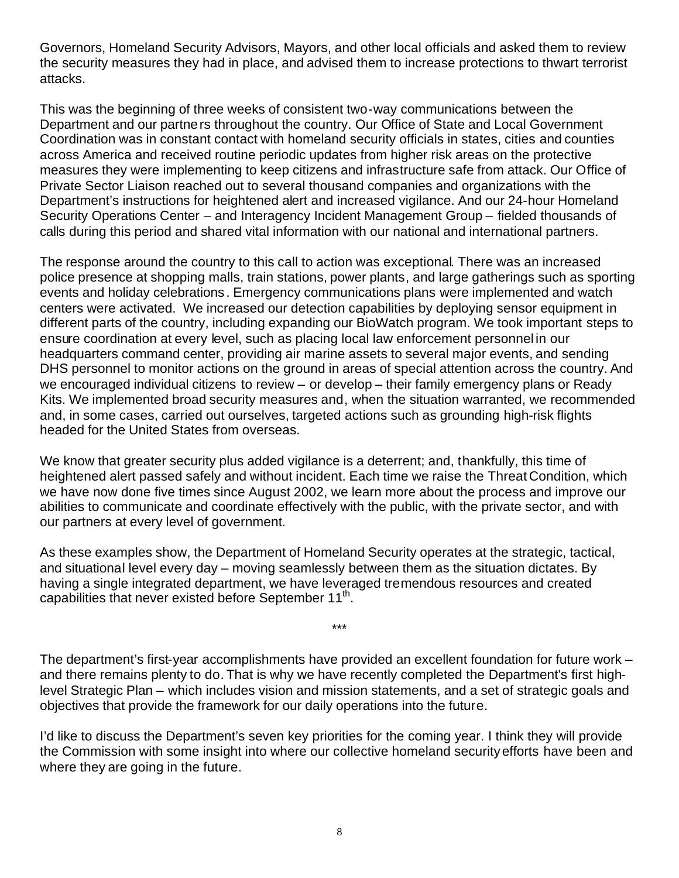Governors, Homeland Security Advisors, Mayors, and other local officials and asked them to review the security measures they had in place, and advised them to increase protections to thwart terrorist attacks.

This was the beginning of three weeks of consistent two-way communications between the Department and our partners throughout the country. Our Office of State and Local Government Coordination was in constant contact with homeland security officials in states, cities and counties across America and received routine periodic updates from higher risk areas on the protective measures they were implementing to keep citizens and infrastructure safe from attack. Our Office of Private Sector Liaison reached out to several thousand companies and organizations with the Department's instructions for heightened alert and increased vigilance. And our 24-hour Homeland Security Operations Center – and Interagency Incident Management Group – fielded thousands of calls during this period and shared vital information with our national and international partners.

The response around the country to this call to action was exceptional. There was an increased police presence at shopping malls, train stations, power plants, and large gatherings such as sporting events and holiday celebrations. Emergency communications plans were implemented and watch centers were activated. We increased our detection capabilities by deploying sensor equipment in different parts of the country, including expanding our BioWatch program. We took important steps to ensure coordination at every level, such as placing local law enforcement personnel in our headquarters command center, providing air marine assets to several major events, and sending DHS personnel to monitor actions on the ground in areas of special attention across the country. And we encouraged individual citizens to review – or develop – their family emergency plans or Ready Kits. We implemented broad security measures and, when the situation warranted, we recommended and, in some cases, carried out ourselves, targeted actions such as grounding high-risk flights headed for the United States from overseas.

We know that greater security plus added vigilance is a deterrent; and, thankfully, this time of heightened alert passed safely and without incident. Each time we raise the Threat Condition, which we have now done five times since August 2002, we learn more about the process and improve our abilities to communicate and coordinate effectively with the public, with the private sector, and with our partners at every level of government.

As these examples show, the Department of Homeland Security operates at the strategic, tactical, and situational level every day – moving seamlessly between them as the situation dictates. By having a single integrated department, we have leveraged tremendous resources and created capabilities that never existed before September 11<sup>th</sup>.

The department's first-year accomplishments have provided an excellent foundation for future work – and there remains plenty to do. That is why we have recently completed the Department's first highlevel Strategic Plan – which includes vision and mission statements, and a set of strategic goals and objectives that provide the framework for our daily operations into the future.

\*\*\*

I'd like to discuss the Department's seven key priorities for the coming year. I think they will provide the Commission with some insight into where our collective homeland security efforts have been and where they are going in the future.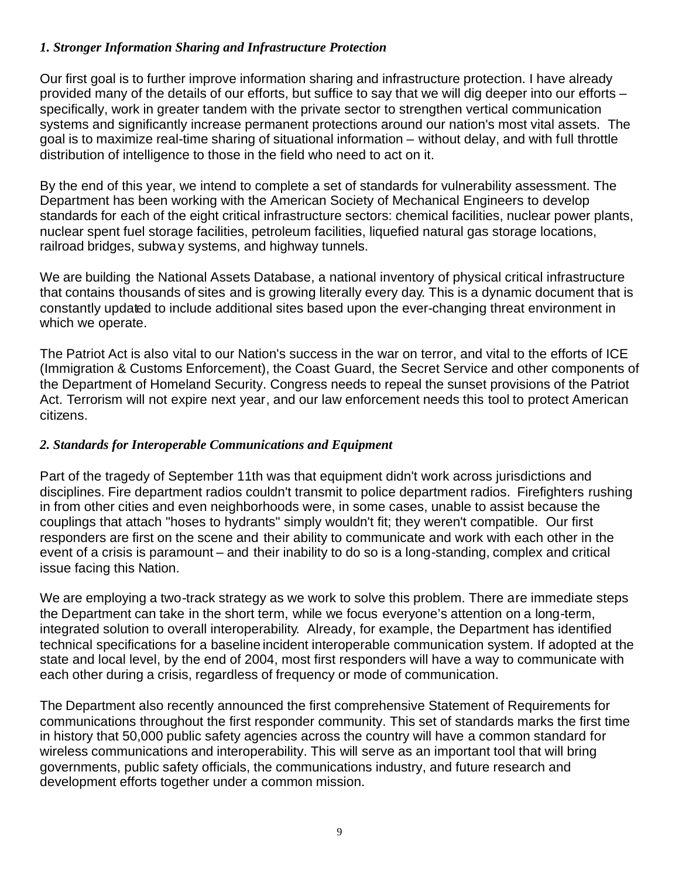### *1. Stronger Information Sharing and Infrastructure Protection*

Our first goal is to further improve information sharing and infrastructure protection. I have already provided many of the details of our efforts, but suffice to say that we will dig deeper into our efforts – specifically, work in greater tandem with the private sector to strengthen vertical communication systems and significantly increase permanent protections around our nation's most vital assets. The goal is to maximize real-time sharing of situational information – without delay, and with full throttle distribution of intelligence to those in the field who need to act on it.

By the end of this year, we intend to complete a set of standards for vulnerability assessment. The Department has been working with the American Society of Mechanical Engineers to develop standards for each of the eight critical infrastructure sectors: chemical facilities, nuclear power plants, nuclear spent fuel storage facilities, petroleum facilities, liquefied natural gas storage locations, railroad bridges, subway systems, and highway tunnels.

We are building the National Assets Database, a national inventory of physical critical infrastructure that contains thousands of sites and is growing literally every day. This is a dynamic document that is constantly updated to include additional sites based upon the ever-changing threat environment in which we operate.

The Patriot Act is also vital to our Nation's success in the war on terror, and vital to the efforts of ICE (Immigration & Customs Enforcement), the Coast Guard, the Secret Service and other components of the Department of Homeland Security. Congress needs to repeal the sunset provisions of the Patriot Act. Terrorism will not expire next year, and our law enforcement needs this tool to protect American citizens.

# *2. Standards for Interoperable Communications and Equipment*

Part of the tragedy of September 11th was that equipment didn't work across jurisdictions and disciplines. Fire department radios couldn't transmit to police department radios. Firefighters rushing in from other cities and even neighborhoods were, in some cases, unable to assist because the couplings that attach "hoses to hydrants" simply wouldn't fit; they weren't compatible. Our first responders are first on the scene and their ability to communicate and work with each other in the event of a crisis is paramount – and their inability to do so is a long-standing, complex and critical issue facing this Nation.

We are employing a two-track strategy as we work to solve this problem. There are immediate steps the Department can take in the short term, while we focus everyone's attention on a long-term, integrated solution to overall interoperability. Already, for example, the Department has identified technical specifications for a baseline incident interoperable communication system. If adopted at the state and local level, by the end of 2004, most first responders will have a way to communicate with each other during a crisis, regardless of frequency or mode of communication.

The Department also recently announced the first comprehensive Statement of Requirements for communications throughout the first responder community. This set of standards marks the first time in history that 50,000 public safety agencies across the country will have a common standard for wireless communications and interoperability. This will serve as an important tool that will bring governments, public safety officials, the communications industry, and future research and development efforts together under a common mission.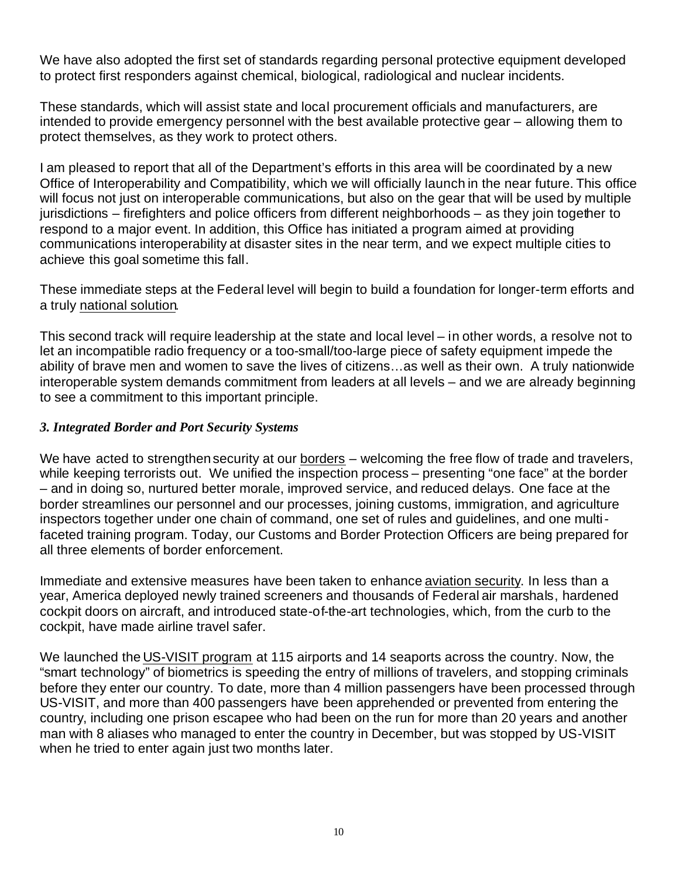We have also adopted the first set of standards regarding personal protective equipment developed to protect first responders against chemical, biological, radiological and nuclear incidents.

These standards, which will assist state and local procurement officials and manufacturers, are intended to provide emergency personnel with the best available protective gear – allowing them to protect themselves, as they work to protect others.

I am pleased to report that all of the Department's efforts in this area will be coordinated by a new Office of Interoperability and Compatibility, which we will officially launch in the near future. This office will focus not just on interoperable communications, but also on the gear that will be used by multiple jurisdictions – firefighters and police officers from different neighborhoods – as they join together to respond to a major event. In addition, this Office has initiated a program aimed at providing communications interoperability at disaster sites in the near term, and we expect multiple cities to achieve this goal sometime this fall.

These immediate steps at the Federal level will begin to build a foundation for longer-term efforts and a truly national solution.

This second track will require leadership at the state and local level – in other words, a resolve not to let an incompatible radio frequency or a too-small/too-large piece of safety equipment impede the ability of brave men and women to save the lives of citizens…as well as their own. A truly nationwide interoperable system demands commitment from leaders at all levels – and we are already beginning to see a commitment to this important principle.

## *3. Integrated Border and Port Security Systems*

We have acted to strengthen security at our borders – welcoming the free flow of trade and travelers, while keeping terrorists out. We unified the inspection process – presenting "one face" at the border – and in doing so, nurtured better morale, improved service, and reduced delays. One face at the border streamlines our personnel and our processes, joining customs, immigration, and agriculture inspectors together under one chain of command, one set of rules and guidelines, and one multifaceted training program. Today, our Customs and Border Protection Officers are being prepared for all three elements of border enforcement.

Immediate and extensive measures have been taken to enhance aviation security. In less than a year, America deployed newly trained screeners and thousands of Federal air marshals, hardened cockpit doors on aircraft, and introduced state-of-the-art technologies, which, from the curb to the cockpit, have made airline travel safer.

We launched the US-VISIT program at 115 airports and 14 seaports across the country. Now, the "smart technology" of biometrics is speeding the entry of millions of travelers, and stopping criminals before they enter our country. To date, more than 4 million passengers have been processed through US-VISIT, and more than 400 passengers have been apprehended or prevented from entering the country, including one prison escapee who had been on the run for more than 20 years and another man with 8 aliases who managed to enter the country in December, but was stopped by US-VISIT when he tried to enter again just two months later.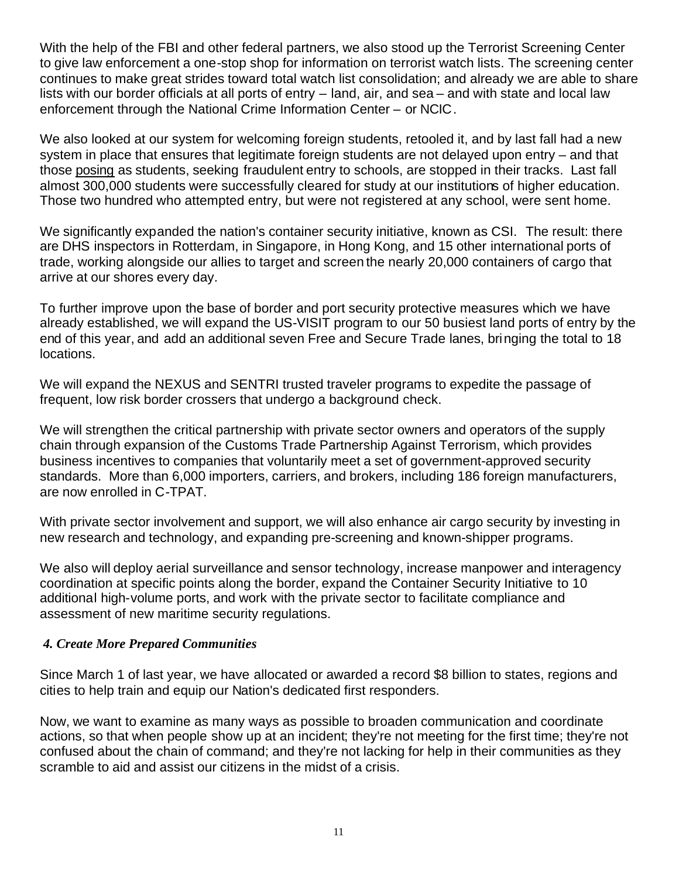With the help of the FBI and other federal partners, we also stood up the Terrorist Screening Center to give law enforcement a one-stop shop for information on terrorist watch lists. The screening center continues to make great strides toward total watch list consolidation; and already we are able to share lists with our border officials at all ports of entry – land, air, and sea – and with state and local law enforcement through the National Crime Information Center – or NCIC.

We also looked at our system for welcoming foreign students, retooled it, and by last fall had a new system in place that ensures that legitimate foreign students are not delayed upon entry – and that those posing as students, seeking fraudulent entry to schools, are stopped in their tracks. Last fall almost 300,000 students were successfully cleared for study at our institutions of higher education. Those two hundred who attempted entry, but were not registered at any school, were sent home.

We significantly expanded the nation's container security initiative, known as CSI. The result: there are DHS inspectors in Rotterdam, in Singapore, in Hong Kong, and 15 other international ports of trade, working alongside our allies to target and screen the nearly 20,000 containers of cargo that arrive at our shores every day.

To further improve upon the base of border and port security protective measures which we have already established, we will expand the US-VISIT program to our 50 busiest land ports of entry by the end of this year, and add an additional seven Free and Secure Trade lanes, bringing the total to 18 locations.

We will expand the NEXUS and SENTRI trusted traveler programs to expedite the passage of frequent, low risk border crossers that undergo a background check.

We will strengthen the critical partnership with private sector owners and operators of the supply chain through expansion of the Customs Trade Partnership Against Terrorism, which provides business incentives to companies that voluntarily meet a set of government-approved security standards. More than 6,000 importers, carriers, and brokers, including 186 foreign manufacturers, are now enrolled in C-TPAT.

With private sector involvement and support, we will also enhance air cargo security by investing in new research and technology, and expanding pre-screening and known-shipper programs.

We also will deploy aerial surveillance and sensor technology, increase manpower and interagency coordination at specific points along the border, expand the Container Security Initiative to 10 additional high-volume ports, and work with the private sector to facilitate compliance and assessment of new maritime security regulations.

#### *4. Create More Prepared Communities*

Since March 1 of last year, we have allocated or awarded a record \$8 billion to states, regions and cities to help train and equip our Nation's dedicated first responders.

Now, we want to examine as many ways as possible to broaden communication and coordinate actions, so that when people show up at an incident; they're not meeting for the first time; they're not confused about the chain of command; and they're not lacking for help in their communities as they scramble to aid and assist our citizens in the midst of a crisis.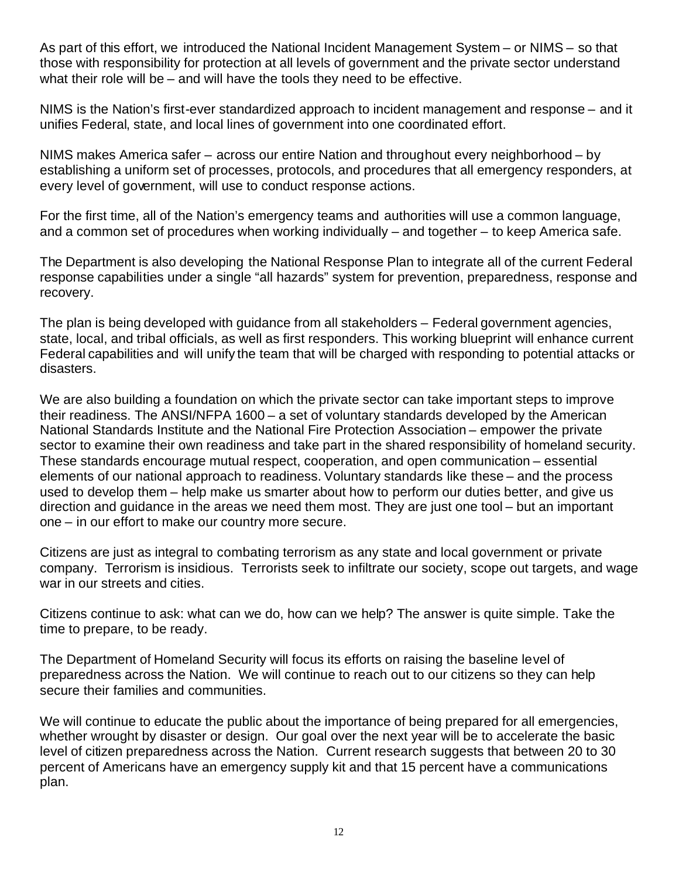As part of this effort, we introduced the National Incident Management System – or NIMS – so that those with responsibility for protection at all levels of government and the private sector understand what their role will be – and will have the tools they need to be effective.

NIMS is the Nation's first-ever standardized approach to incident management and response – and it unifies Federal, state, and local lines of government into one coordinated effort.

NIMS makes America safer – across our entire Nation and throughout every neighborhood – by establishing a uniform set of processes, protocols, and procedures that all emergency responders, at every level of government, will use to conduct response actions.

For the first time, all of the Nation's emergency teams and authorities will use a common language, and a common set of procedures when working individually – and together – to keep America safe.

The Department is also developing the National Response Plan to integrate all of the current Federal response capabilities under a single "all hazards" system for prevention, preparedness, response and recovery.

The plan is being developed with guidance from all stakeholders – Federal government agencies, state, local, and tribal officials, as well as first responders. This working blueprint will enhance current Federal capabilities and will unify the team that will be charged with responding to potential attacks or disasters.

We are also building a foundation on which the private sector can take important steps to improve their readiness. The ANSI/NFPA 1600 – a set of voluntary standards developed by the American National Standards Institute and the National Fire Protection Association – empower the private sector to examine their own readiness and take part in the shared responsibility of homeland security. These standards encourage mutual respect, cooperation, and open communication – essential elements of our national approach to readiness. Voluntary standards like these – and the process used to develop them – help make us smarter about how to perform our duties better, and give us direction and guidance in the areas we need them most. They are just one tool – but an important one – in our effort to make our country more secure.

Citizens are just as integral to combating terrorism as any state and local government or private company. Terrorism is insidious. Terrorists seek to infiltrate our society, scope out targets, and wage war in our streets and cities.

Citizens continue to ask: what can we do, how can we help? The answer is quite simple. Take the time to prepare, to be ready.

The Department of Homeland Security will focus its efforts on raising the baseline level of preparedness across the Nation. We will continue to reach out to our citizens so they can help secure their families and communities.

We will continue to educate the public about the importance of being prepared for all emergencies, whether wrought by disaster or design. Our goal over the next year will be to accelerate the basic level of citizen preparedness across the Nation. Current research suggests that between 20 to 30 percent of Americans have an emergency supply kit and that 15 percent have a communications plan.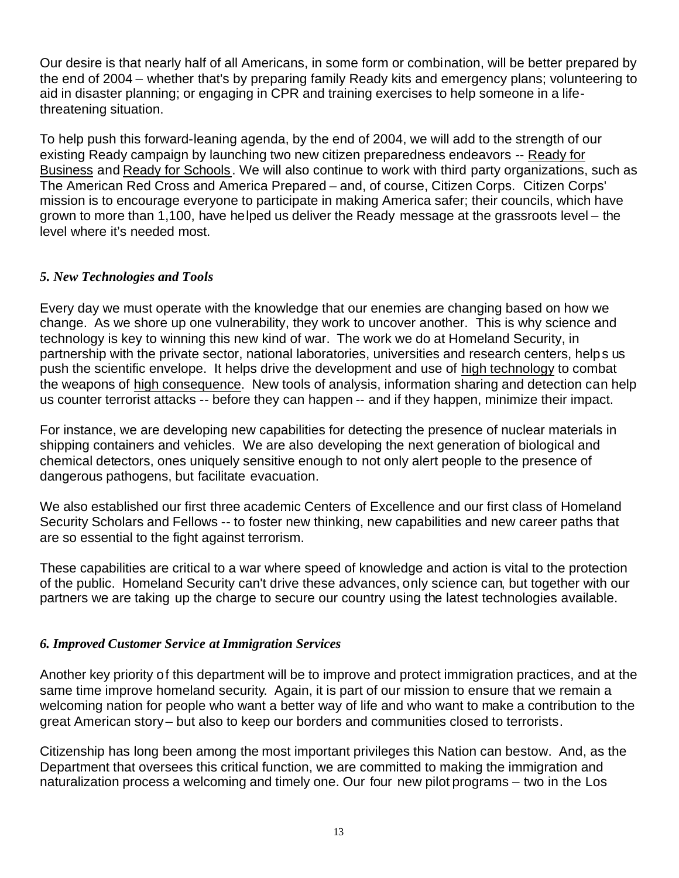Our desire is that nearly half of all Americans, in some form or combination, will be better prepared by the end of 2004 – whether that's by preparing family Ready kits and emergency plans; volunteering to aid in disaster planning; or engaging in CPR and training exercises to help someone in a lifethreatening situation.

To help push this forward-leaning agenda, by the end of 2004, we will add to the strength of our existing Ready campaign by launching two new citizen preparedness endeavors -- Ready for Business and Ready for Schools. We will also continue to work with third party organizations, such as The American Red Cross and America Prepared – and, of course, Citizen Corps. Citizen Corps' mission is to encourage everyone to participate in making America safer; their councils, which have grown to more than 1,100, have helped us deliver the Ready message at the grassroots level – the level where it's needed most.

## *5. New Technologies and Tools*

Every day we must operate with the knowledge that our enemies are changing based on how we change. As we shore up one vulnerability, they work to uncover another. This is why science and technology is key to winning this new kind of war. The work we do at Homeland Security, in partnership with the private sector, national laboratories, universities and research centers, helps us push the scientific envelope. It helps drive the development and use of high technology to combat the weapons of high consequence. New tools of analysis, information sharing and detection can help us counter terrorist attacks -- before they can happen -- and if they happen, minimize their impact.

For instance, we are developing new capabilities for detecting the presence of nuclear materials in shipping containers and vehicles. We are also developing the next generation of biological and chemical detectors, ones uniquely sensitive enough to not only alert people to the presence of dangerous pathogens, but facilitate evacuation.

We also established our first three academic Centers of Excellence and our first class of Homeland Security Scholars and Fellows -- to foster new thinking, new capabilities and new career paths that are so essential to the fight against terrorism.

These capabilities are critical to a war where speed of knowledge and action is vital to the protection of the public. Homeland Security can't drive these advances, only science can, but together with our partners we are taking up the charge to secure our country using the latest technologies available.

#### *6. Improved Customer Service at Immigration Services*

Another key priority of this department will be to improve and protect immigration practices, and at the same time improve homeland security. Again, it is part of our mission to ensure that we remain a welcoming nation for people who want a better way of life and who want to make a contribution to the great American story– but also to keep our borders and communities closed to terrorists.

Citizenship has long been among the most important privileges this Nation can bestow. And, as the Department that oversees this critical function, we are committed to making the immigration and naturalization process a welcoming and timely one. Our four new pilot programs – two in the Los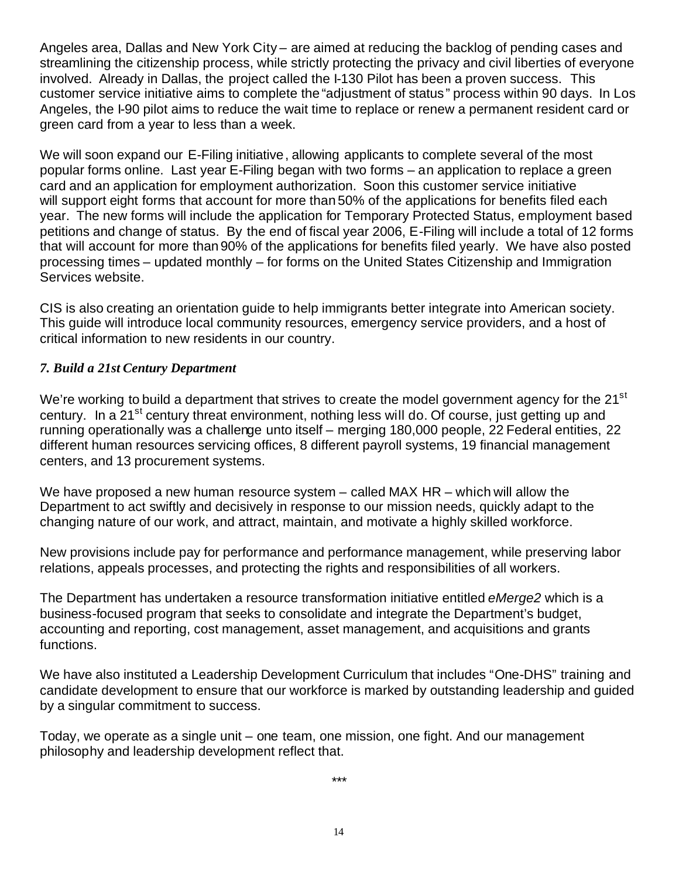Angeles area, Dallas and New York City – are aimed at reducing the backlog of pending cases and streamlining the citizenship process, while strictly protecting the privacy and civil liberties of everyone involved. Already in Dallas, the project called the I-130 Pilot has been a proven success. This customer service initiative aims to complete the "adjustment of status" process within 90 days. In Los Angeles, the I-90 pilot aims to reduce the wait time to replace or renew a permanent resident card or green card from a year to less than a week.

We will soon expand our E-Filing initiative, allowing applicants to complete several of the most popular forms online. Last year E-Filing began with two forms – an application to replace a green card and an application for employment authorization. Soon this customer service initiative will support eight forms that account for more than 50% of the applications for benefits filed each year. The new forms will include the application for Temporary Protected Status, employment based petitions and change of status. By the end of fiscal year 2006, E-Filing will include a total of 12 forms that will account for more than 90% of the applications for benefits filed yearly. We have also posted processing times – updated monthly – for forms on the United States Citizenship and Immigration Services website.

CIS is also creating an orientation guide to help immigrants better integrate into American society. This guide will introduce local community resources, emergency service providers, and a host of critical information to new residents in our country.

## *7. Build a 21st Century Department*

We're working to build a department that strives to create the model government agency for the 21<sup>st</sup> century. In a 21<sup>st</sup> century threat environment, nothing less will do. Of course, just getting up and running operationally was a challenge unto itself – merging 180,000 people, 22 Federal entities, 22 different human resources servicing offices, 8 different payroll systems, 19 financial management centers, and 13 procurement systems.

We have proposed a new human resource system – called MAX HR – which will allow the Department to act swiftly and decisively in response to our mission needs, quickly adapt to the changing nature of our work, and attract, maintain, and motivate a highly skilled workforce.

New provisions include pay for performance and performance management, while preserving labor relations, appeals processes, and protecting the rights and responsibilities of all workers.

The Department has undertaken a resource transformation initiative entitled *eMerge2* which is a business-focused program that seeks to consolidate and integrate the Department's budget, accounting and reporting, cost management, asset management, and acquisitions and grants functions.

We have also instituted a Leadership Development Curriculum that includes "One-DHS" training and candidate development to ensure that our workforce is marked by outstanding leadership and guided by a singular commitment to success.

Today, we operate as a single unit – one team, one mission, one fight. And our management philosophy and leadership development reflect that.

\*\*\*